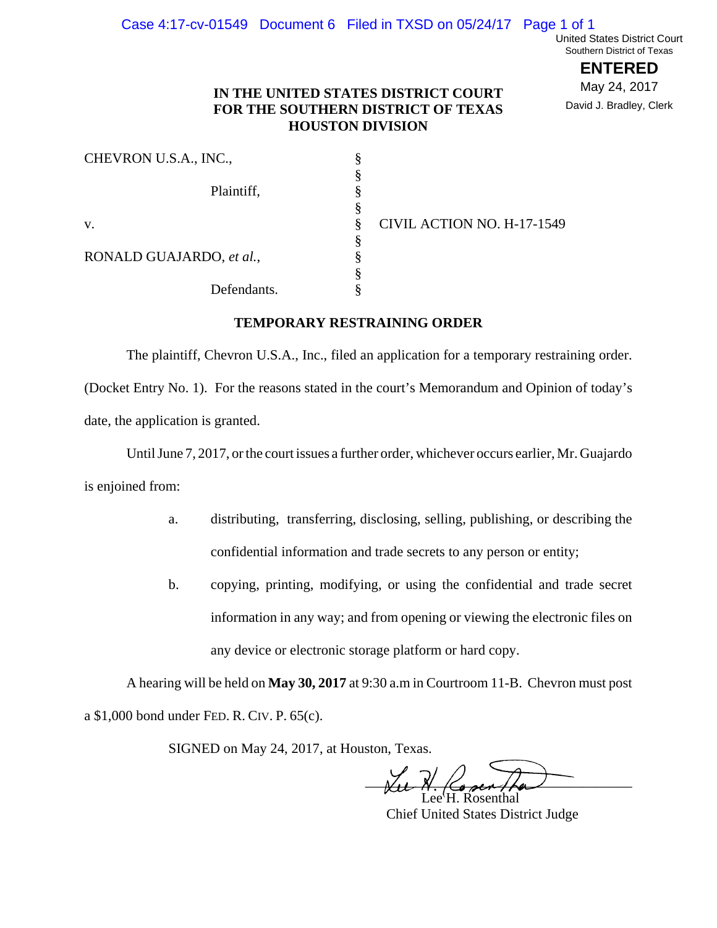United States District Court Southern District of Texas

> **ENTERED** May 24, 2017

David J. Bradley, Clerk

#### **IN THE UNITED STATES DISTRICT COURT FOR THE SOUTHERN DISTRICT OF TEXAS HOUSTON DIVISION**

| § | CIVIL ACTION NO. H-17-1549 |
|---|----------------------------|
| § |                            |
|   |                            |
|   |                            |
|   |                            |
|   |                            |

#### **TEMPORARY RESTRAINING ORDER**

The plaintiff, Chevron U.S.A., Inc., filed an application for a temporary restraining order. (Docket Entry No. 1). For the reasons stated in the court's Memorandum and Opinion of today's date, the application is granted.

Until June 7, 2017, or the court issues a further order, whichever occurs earlier, Mr. Guajardo is enjoined from:

- a. distributing, transferring, disclosing, selling, publishing, or describing the confidential information and trade secrets to any person or entity;
- b. copying, printing, modifying, or using the confidential and trade secret information in any way; and from opening or viewing the electronic files on any device or electronic storage platform or hard copy.

A hearing will be held on **May 30, 2017** at 9:30 a.m in Courtroom 11-B. Chevron must post a \$1,000 bond under FED. R. CIV. P. 65(c).

SIGNED on May 24, 2017, at Houston, Texas.

 $N_{\rm H}N$  Kasen the

Lee'H. Rosenthal Chief United States District Judge